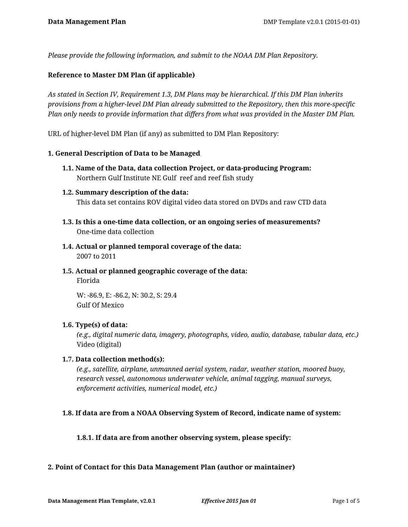*Please provide the following information, and submit to the NOAA DM Plan Repository.*

### **Reference to Master DM Plan (if applicable)**

*As stated in Section IV, Requirement 1.3, DM Plans may be hierarchical. If this DM Plan inherits provisions from a higher-level DM Plan already submitted to the Repository, then this more-specific Plan only needs to provide information that differs from what was provided in the Master DM Plan.*

URL of higher-level DM Plan (if any) as submitted to DM Plan Repository:

### **1. General Description of Data to be Managed**

- **1.1. Name of the Data, data collection Project, or data-producing Program:** Northern Gulf Institute NE Gulf reef and reef fish study
- **1.2. Summary description of the data:** This data set contains ROV digital video data stored on DVDs and raw CTD data
- **1.3. Is this a one-time data collection, or an ongoing series of measurements?** One-time data collection
- **1.4. Actual or planned temporal coverage of the data:** 2007 to 2011
- **1.5. Actual or planned geographic coverage of the data:** Florida

W: -86.9, E: -86.2, N: 30.2, S: 29.4 Gulf Of Mexico

### **1.6. Type(s) of data:**

*(e.g., digital numeric data, imagery, photographs, video, audio, database, tabular data, etc.)* Video (digital)

### **1.7. Data collection method(s):**

*(e.g., satellite, airplane, unmanned aerial system, radar, weather station, moored buoy, research vessel, autonomous underwater vehicle, animal tagging, manual surveys, enforcement activities, numerical model, etc.)*

### **1.8. If data are from a NOAA Observing System of Record, indicate name of system:**

### **1.8.1. If data are from another observing system, please specify:**

### **2. Point of Contact for this Data Management Plan (author or maintainer)**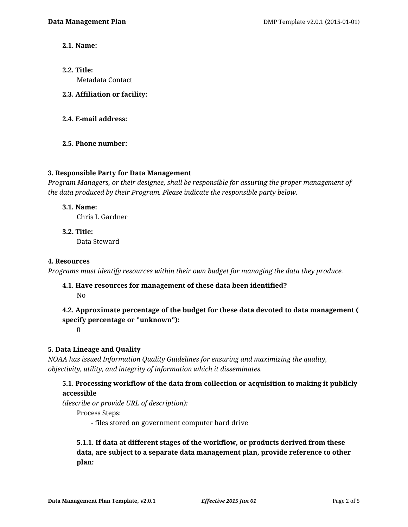- **2.1. Name:**
- **2.2. Title:** Metadata Contact
- **2.3. Affiliation or facility:**
- **2.4. E-mail address:**
- **2.5. Phone number:**

### **3. Responsible Party for Data Management**

*Program Managers, or their designee, shall be responsible for assuring the proper management of the data produced by their Program. Please indicate the responsible party below.*

### **3.1. Name:**

Chris L Gardner

**3.2. Title:** Data Steward

### **4. Resources**

*Programs must identify resources within their own budget for managing the data they produce.*

### **4.1. Have resources for management of these data been identified?** No

# **4.2. Approximate percentage of the budget for these data devoted to data management ( specify percentage or "unknown"):**

0

## **5. Data Lineage and Quality**

*NOAA has issued Information Quality Guidelines for ensuring and maximizing the quality, objectivity, utility, and integrity of information which it disseminates.*

## **5.1. Processing workflow of the data from collection or acquisition to making it publicly accessible**

*(describe or provide URL of description):*

Process Steps:

- files stored on government computer hard drive

# **5.1.1. If data at different stages of the workflow, or products derived from these data, are subject to a separate data management plan, provide reference to other plan:**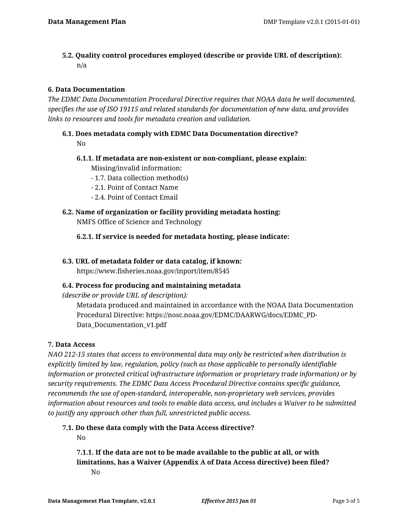**5.2. Quality control procedures employed (describe or provide URL of description):** n/a

# **6. Data Documentation**

*The EDMC Data Documentation Procedural Directive requires that NOAA data be well documented, specifies the use of ISO 19115 and related standards for documentation of new data, and provides links to resources and tools for metadata creation and validation.*

- **6.1. Does metadata comply with EDMC Data Documentation directive?** No
	- **6.1.1. If metadata are non-existent or non-compliant, please explain:** Missing/invalid information:
		- 1.7. Data collection method(s)
		- 2.1. Point of Contact Name
		- 2.4. Point of Contact Email
- **6.2. Name of organization or facility providing metadata hosting:** NMFS Office of Science and Technology
	- **6.2.1. If service is needed for metadata hosting, please indicate:**
- **6.3. URL of metadata folder or data catalog, if known:**

https://www.fisheries.noaa.gov/inport/item/8545

## **6.4. Process for producing and maintaining metadata**

*(describe or provide URL of description):*

Metadata produced and maintained in accordance with the NOAA Data Documentation Procedural Directive: https://nosc.noaa.gov/EDMC/DAARWG/docs/EDMC\_PD-Data Documentation v1.pdf

### **7. Data Access**

*NAO 212-15 states that access to environmental data may only be restricted when distribution is explicitly limited by law, regulation, policy (such as those applicable to personally identifiable information or protected critical infrastructure information or proprietary trade information) or by security requirements. The EDMC Data Access Procedural Directive contains specific guidance, recommends the use of open-standard, interoperable, non-proprietary web services, provides information about resources and tools to enable data access, and includes a Waiver to be submitted to justify any approach other than full, unrestricted public access.*

**7.1. Do these data comply with the Data Access directive?**

No

**7.1.1. If the data are not to be made available to the public at all, or with limitations, has a Waiver (Appendix A of Data Access directive) been filed?** No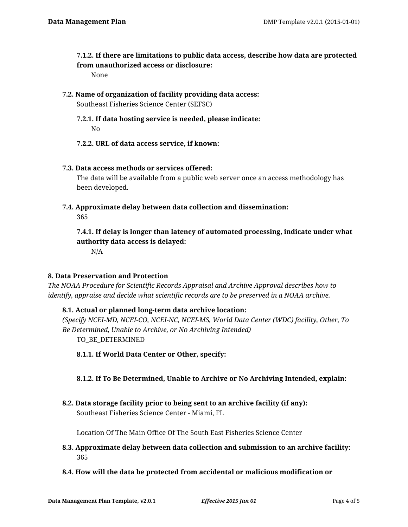**7.1.2. If there are limitations to public data access, describe how data are protected from unauthorized access or disclosure:**

None

- **7.2. Name of organization of facility providing data access:** Southeast Fisheries Science Center (SEFSC)
	- **7.2.1. If data hosting service is needed, please indicate:** No
	- **7.2.2. URL of data access service, if known:**

## **7.3. Data access methods or services offered:**

The data will be available from a public web server once an access methodology has been developed.

**7.4. Approximate delay between data collection and dissemination:** 365

**7.4.1. If delay is longer than latency of automated processing, indicate under what authority data access is delayed:**

N/A

### **8. Data Preservation and Protection**

*The NOAA Procedure for Scientific Records Appraisal and Archive Approval describes how to identify, appraise and decide what scientific records are to be preserved in a NOAA archive.*

## **8.1. Actual or planned long-term data archive location:**

*(Specify NCEI-MD, NCEI-CO, NCEI-NC, NCEI-MS, World Data Center (WDC) facility, Other, To Be Determined, Unable to Archive, or No Archiving Intended)* TO\_BE\_DETERMINED

**8.1.1. If World Data Center or Other, specify:**

## **8.1.2. If To Be Determined, Unable to Archive or No Archiving Intended, explain:**

**8.2. Data storage facility prior to being sent to an archive facility (if any):** Southeast Fisheries Science Center - Miami, FL

Location Of The Main Office Of The South East Fisheries Science Center

- **8.3. Approximate delay between data collection and submission to an archive facility:** 365
- **8.4. How will the data be protected from accidental or malicious modification or**